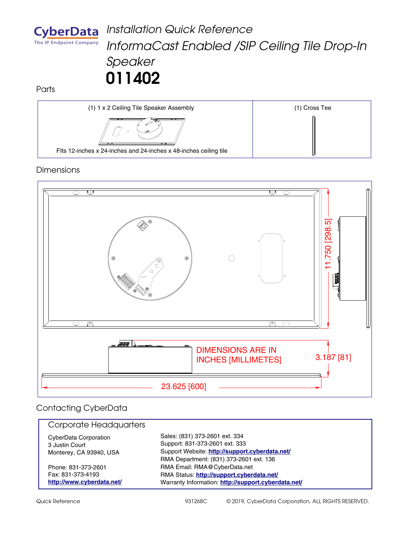

## *Installation Quick Reference InformaCast Enabled /SIP Ceiling Tile Drop-In Speaker* **011402**

**Parts** 



## **Dimensions**



## Contacting CyberData

| Corporate Headquarters                                                    |                                                                                                                                                                             |
|---------------------------------------------------------------------------|-----------------------------------------------------------------------------------------------------------------------------------------------------------------------------|
| <b>CyberData Corporation</b><br>3 Justin Court<br>Monterey, CA 93940, USA | Sales: (831) 373-2601 ext. 334<br>Support: 831-373-2601 ext. 333<br>Support Website: http://support.cyberdata.net/                                                          |
| Phone: 831-373-2601<br>Fax: 831-373-4193<br>http://www.cyberdata.net/     | RMA Department: (831) 373-2601 ext. 136<br>RMA Email: RMA@CyberData.net<br>RMA Status: http://support.cyberdata.net/<br>Warranty Information: http://support.cyberdata.net/ |